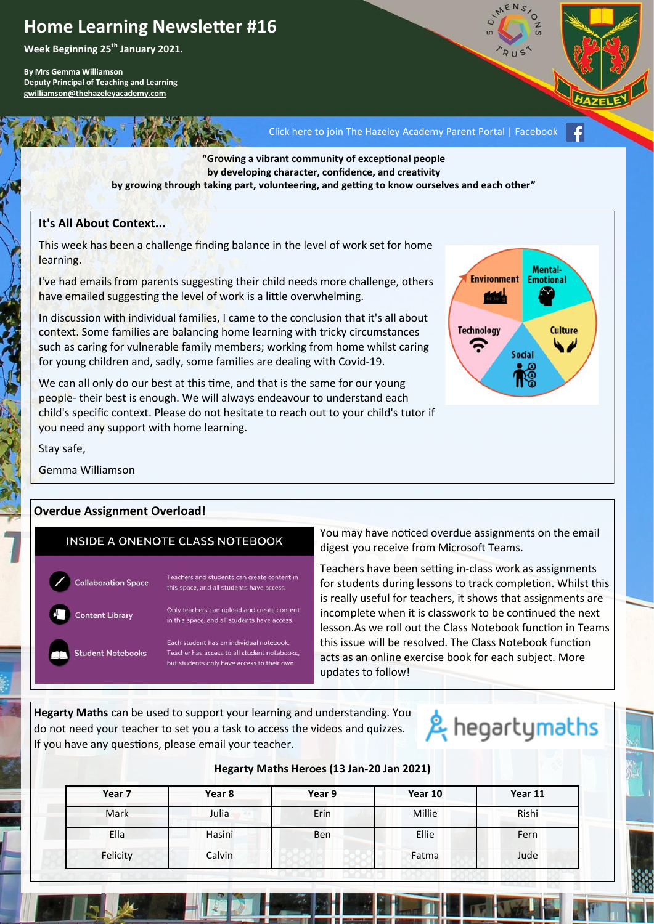# **Home Learning Newsletter #16**

**Week Beginning 25th January 2021.**

**By Mrs Gemma Williamson Deputy Principal of Teaching and Learning [gwilliamson@thehazeleyacademy.com](mailto:gwilliamson@thehazeleyacademy.com)**

[Click here to join The Hazeley Academy Parent Portal | Facebook](https://www.facebook.com/groups/1158348127835751/?ref=share)

**"Growing a vibrant community of exceptional people by developing character, confidence, and creativity**

**by growing through taking part, volunteering, and getting to know ourselves and each other"**

#### **It's All About Context...**

This week has been a challenge finding balance in the level of work set for home learning.

I've had emails from parents suggesting their child needs more challenge, others have emailed suggesting the level of work is a little overwhelming.

In discussion with individual families, I came to the conclusion that it's all about context. Some families are balancing home learning with tricky circumstances such as caring for vulnerable family members; working from home whilst caring for young children and, sadly, some families are dealing with Covid-19.

We can all only do our best at this time, and that is the same for our young people- their best is enough. We will always endeavour to understand each child's specific context. Please do not hesitate to reach out to your child's tutor if you need any support with home learning.



Stay safe,

Gemma Williamson

## **Overdue Assignment Overload!**

|                             | <b>INSIDE A ONENOTE CLASS NOTEBOOK</b>                                               |
|-----------------------------|--------------------------------------------------------------------------------------|
| <b>Collaboration Space</b>  | Teachers and students can create conte<br>this space, and all students have access   |
| Ŧ<br><b>Content Library</b> | Only teachers can upload and create cor<br>in this space, and all students have acce |
|                             | Each student has an individual poteboo                                               |

**Student Notebooks** 

# rs and students can create content in

ace, and all students have access.

chers can upload and create content space, and all students have access.

udent has an individual notebook Teacher has access to all student notebook but students only have access to their own

You may have noticed overdue assignments on the email digest you receive from Microsoft Teams.

Teachers have been setting in-class work as assignments for students during lessons to track completion. Whilst this is really useful for teachers, it shows that assignments are incomplete when it is classwork to be continued the next lesson.As we roll out the Class Notebook function in Teams this issue will be resolved. The Class Notebook function acts as an online exercise book for each subject. More updates to follow!

**Hegarty Maths** can be used to support your learning and understanding. You do not need your teacher to set you a task to access the videos and quizzes. If you have any questions, please email your teacher.

# & hegartymaths

## **Hegarty Maths Heroes (13 Jan-20 Jan 2021)**

| Year 7   | Year 8 | Year 9 | Year 10 | Year 11 |
|----------|--------|--------|---------|---------|
| Mark     | Julia  | Erin   | Millie  | Rishi   |
| Ella     | Hasini | Ben    | Ellie   | Fern    |
| Felicity | Calvin |        | Fatma   | Jude    |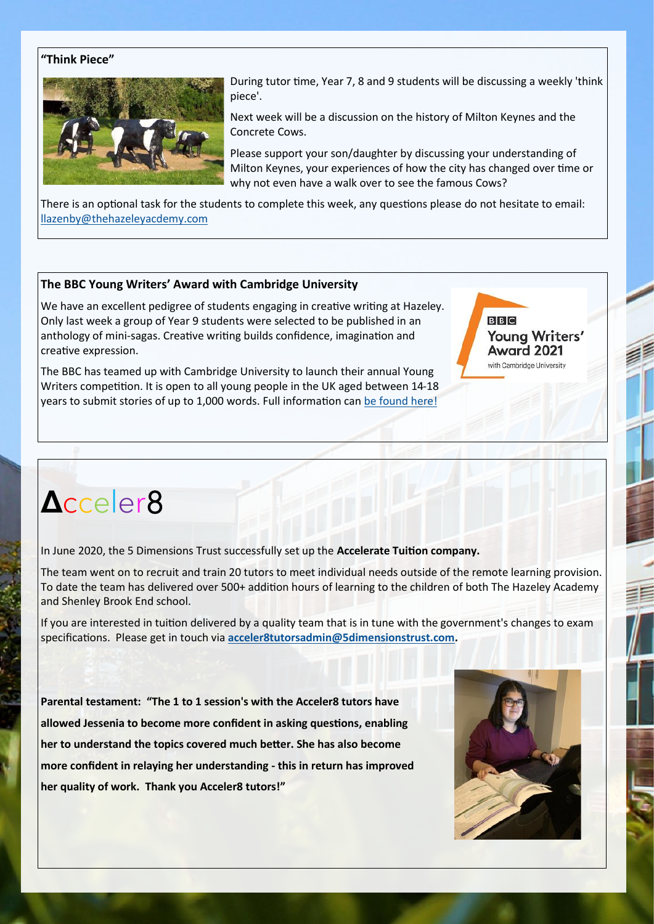#### **"Think Piece"**



During tutor time, Year 7, 8 and 9 students will be discussing a weekly 'think piece'.

Next week will be a discussion on the history of Milton Keynes and the Concrete Cows.

Please support your son/daughter by discussing your understanding of Milton Keynes, your experiences of how the city has changed over time or why not even have a walk over to see the famous Cows?

There is an optional task for the students to complete this week, any questions please do not hesitate to email: [llazenby@thehazeleyacdemy.com](mailto:llazenby@thehazeleyacdemy.com)

#### **The BBC Young Writers' Award with Cambridge University**

We have an excellent pedigree of students engaging in creative writing at Hazeley. Only last week a group of Year 9 students were selected to be published in an anthology of mini-sagas. Creative writing builds confidence, imagination and creative expression.

The BBC has teamed up with Cambridge University to launch their annual Young Writers competition. It is open to all young people in the UK aged between 14-18 years to submit stories of up to 1,000 words. Full information can [be found here!](https://www.bbc.co.uk/programmes/articles/Tj4MhhtbzJC2Xf6pgpb09R/2021-bbc-young-writers-award-open-for-submissions)

# **Δ**cceler8

In June 2020, the 5 Dimensions Trust successfully set up the **Accelerate Tuition company.**

The team went on to recruit and train 20 tutors to meet individual needs outside of the remote learning provision. To date the team has delivered over 500+ addition hours of learning to the children of both The Hazeley Academy and Shenley Brook End school.

If you are interested in tuition delivered by a quality team that is in tune with the government's changes to exam specifications. Please get in touch via **[acceler8tutorsadmin@5dimensionstrust.com.](mailto:acceler8tutorsadmin@5dimensionstrust.com)**

**Parental testament: "The 1 to 1 session's with the Acceler8 tutors have allowed Jessenia to become more confident in asking questions, enabling her to understand the topics covered much better. She has also become more confident in relaying her understanding - this in return has improved her quality of work. Thank you Acceler8 tutors!"**



**BBC** 

Young Writers' Award 2021 with Cambridge University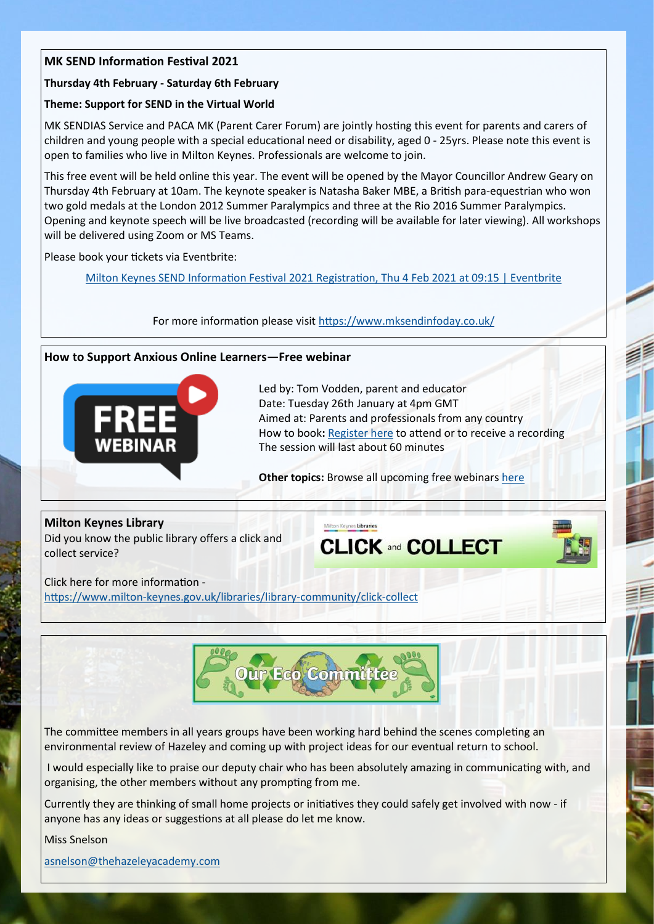# **MK SEND Information Festival 2021**

#### **Thursday 4th February - Saturday 6th February**

#### **Theme: Support for SEND in the Virtual World**

MK SENDIAS Service and PACA MK (Parent Carer Forum) are jointly hosting this event for parents and carers of children and young people with a special educational need or disability, aged 0 - 25yrs. Please note this event is open to families who live in Milton Keynes. Professionals are welcome to join.

This free event will be held online this year. The event will be opened by the Mayor Councillor Andrew Geary on Thursday 4th February at 10am. The keynote speaker is Natasha Baker MBE, a British para-equestrian who won two gold medals at the London 2012 Summer Paralympics and three at the Rio 2016 Summer Paralympics. Opening and keynote speech will be live broadcasted (recording will be available for later viewing). All workshops will be delivered using Zoom or MS Teams.

Please book your tickets via Eventbrite:

[Milton Keynes SEND Information Festival 2021 Registration, Thu 4 Feb 2021 at 09:15 | Eventbrite](https://www.eventbrite.co.uk/e/milton-keynes-send-information-festival-2021-registration-131212709747)

For more information please visit <https://www.mksendinfoday.co.uk/>

#### **How to Support Anxious Online Learners—Free webinar**



Led by: Tom Vodden, parent and educator Date: Tuesday 26th January at 4pm GMT Aimed at: Parents and professionals from any country How to book: [Register here](https://creativeeducation.us19.list-manage.com/track/click?u=e2bfc705af9fc36e7ac5517f5&id=2e1964db83&e=5dd4ad07d0) to attend or to receive a recording The session will last about 60 minutes

**Other topics:** Browse all upcoming free webinars [here](https://creativeeducation.us19.list-manage.com/track/click?u=e2bfc705af9fc36e7ac5517f5&id=1d484db622&e=5dd4ad07d0)

filton Keynes Libraries

**Milton Keynes Library** Did you know the public library offers a click and collect service?

**CLICK and COLLECT** 



Click here for more information https://www.milton-[keynes.gov.uk/libraries/library](https://www.milton-keynes.gov.uk/libraries/library-community/click-collect)-community/click-collect



The committee members in all years groups have been working hard behind the scenes completing an environmental review of Hazeley and coming up with project ideas for our eventual return to school.

I would especially like to praise our deputy chair who has been absolutely amazing in communicating with, and organising, the other members without any prompting from me.

Currently they are thinking of small home projects or initiatives they could safely get involved with now - if anyone has any ideas or suggestions at all please do let me know.

Miss Snelson

[asnelson@thehazeleyacademy.com](mailto:asnelson@thehazeleyacademy.com)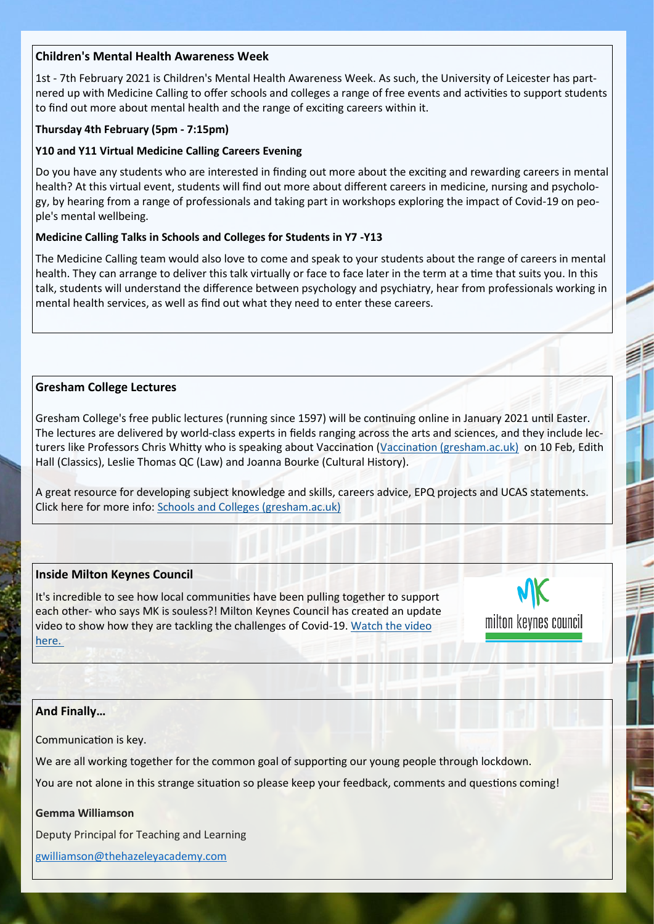# **Children's Mental Health Awareness Week**

1st - 7th February 2021 is Children's Mental Health Awareness Week. As such, the University of Leicester has partnered up with Medicine Calling to offer schools and colleges a range of free events and activities to support students to find out more about mental health and the range of exciting careers within it.

## **Thursday 4th February (5pm - 7:15pm)**

## **Y10 and Y11 Virtual Medicine Calling Careers Evening**

Do you have any students who are interested in finding out more about the exciting and rewarding careers in mental health? At this virtual event, students will find out more about different careers in medicine, nursing and psychology, by hearing from a range of professionals and taking part in workshops exploring the impact of Covid-19 on people's mental wellbeing.

## **Medicine Calling Talks in Schools and Colleges for Students in Y7 -Y13**

The Medicine Calling team would also love to come and speak to your students about the range of careers in mental health. They can arrange to deliver this talk virtually or face to face later in the term at a time that suits you. In this talk, students will understand the difference between psychology and psychiatry, hear from professionals working in mental health services, as well as find out what they need to enter these careers.

# **Gresham College Lectures**

Gresham College's free public lectures (running since 1597) will be continuing online in January 2021 until Easter. The lectures are delivered by world-class experts in fields ranging across the arts and sciences, and they include lec-turers like Professors Chris Whitty who is speaking about [Vaccination \(](http://app1.emailer-send.com/b1/el.php?SID=290397&STATID=38&LID=92&FID=H)[Vaccination \(gresham.ac.uk\)](https://www.gresham.ac.uk/lectures-and-events/vaccination) on 10 Feb, Edith Hall (Classics), Leslie Thomas QC (Law) and Joanna Bourke (Cultural History).

A great resource for developing subject knowledge and skills, careers advice, EPQ projects and UCAS statements. Click here for more info: [Schools and Colleges \(gresham.ac.uk\)](https://www.gresham.ac.uk/schools)

# **Inside Milton Keynes Council**

It's incredible to see how local communities have been pulling together to support each other- who says MK is souless?! Milton Keynes Council has created an update video to show how they are tackling the challenges of Covid-19. [Watch the video](https://www.youtube.com/watch?v=tkqjtluhljI&feature=youtu.be)  [here.](https://www.youtube.com/watch?v=tkqjtluhljI&feature=youtu.be)



# **And Finally…**

Communication is key.

We are all working together for the common goal of supporting our young people through lockdown.

You are not alone in this strange situation so please keep your feedback, comments and questions coming!

#### **Gemma Williamson**

Deputy Principal for Teaching and Learning

gwilliamson[@thehazeleyacademy.com](mailto:twhiteman@thehazeleyacademy.com)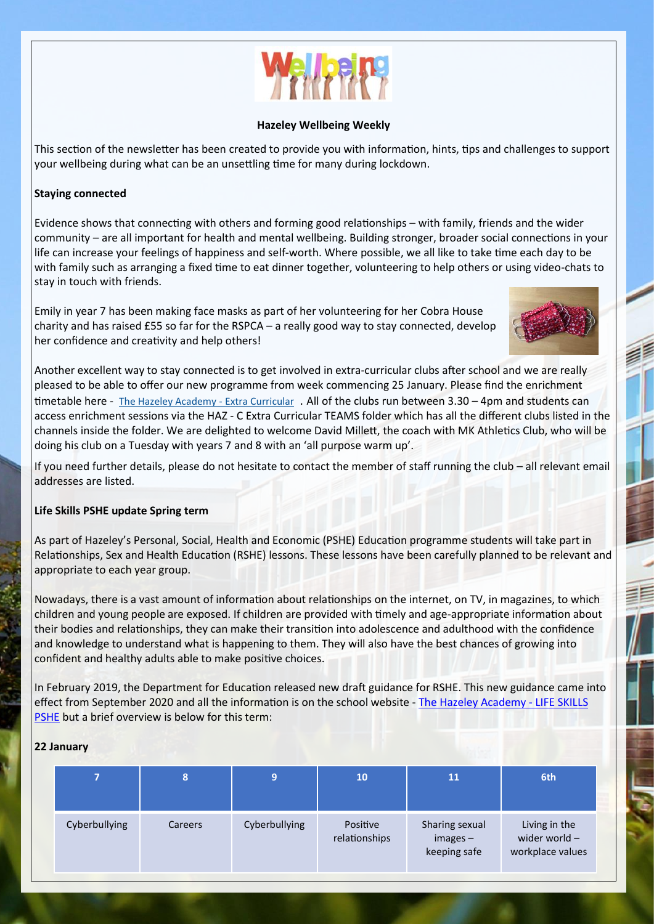

#### **Hazeley Wellbeing Weekly**

This section of the newsletter has been created to provide you with information, hints, tips and challenges to support your wellbeing during what can be an unsettling time for many during lockdown.

## **Staying connected**

Evidence shows that connecting with others and forming good relationships – with family, friends and the wider community – are all important for health and mental wellbeing. Building stronger, broader social connections in your life can increase your feelings of happiness and self-worth. Where possible, we all like to take time each day to be with family such as arranging a fixed time to eat dinner together, volunteering to help others or using video-chats to stay in touch with friends.

Emily in year 7 has been making face masks as part of her volunteering for her Cobra House charity and has raised £55 so far for the RSPCA – a really good way to stay connected, develop her confidence and creativity and help others!



Another excellent way to stay connected is to get involved in extra-curricular clubs after school and we are really pleased to be able to offer our new programme from week commencing 25 January. Please find the enrichment timetable here - [The Hazeley Academy](https://www.thehazeleyacademy.com/page/?title=Extra+Curricular&pid=56) - Extra Curricular . All of the clubs run between 3.30 - 4pm and students can access enrichment sessions via the HAZ - C Extra Curricular TEAMS folder which has all the different clubs listed in the channels inside the folder. We are delighted to welcome David Millett, the coach with MK Athletics Club, who will be doing his club on a Tuesday with years 7 and 8 with an 'all purpose warm up'.

If you need further details, please do not hesitate to contact the member of staff running the club – all relevant email addresses are listed.

#### **Life Skills PSHE update Spring term**

As part of Hazeley's Personal, Social, Health and Economic (PSHE) Education programme students will take part in Relationships, Sex and Health Education (RSHE) lessons. These lessons have been carefully planned to be relevant and appropriate to each year group.

Nowadays, there is a vast amount of information about relationships on the internet, on TV, in magazines, to which children and young people are exposed. If children are provided with timely and age-appropriate information about their bodies and relationships, they can make their transition into adolescence and adulthood with the confidence and knowledge to understand what is happening to them. They will also have the best chances of growing into confident and healthy adults able to make positive choices.

In February 2019, the Department for Education released new draft guidance for RSHE. This new guidance came into effect from September 2020 and all the information is on the school website - [The Hazeley Academy](https://www.thehazeleyacademy.com/page/?title=LIFE+SKILLS+PSHE&pid=46) - LIFE SKILLS [PSHE](https://www.thehazeleyacademy.com/page/?title=LIFE+SKILLS+PSHE&pid=46) but a brief overview is below for this term:

## **22 January**

|               | 8       | 9             | 10                        | 11                                           | 6th                                                |
|---------------|---------|---------------|---------------------------|----------------------------------------------|----------------------------------------------------|
| Cyberbullying | Careers | Cyberbullying | Positive<br>relationships | Sharing sexual<br>$images -$<br>keeping safe | Living in the<br>wider world -<br>workplace values |